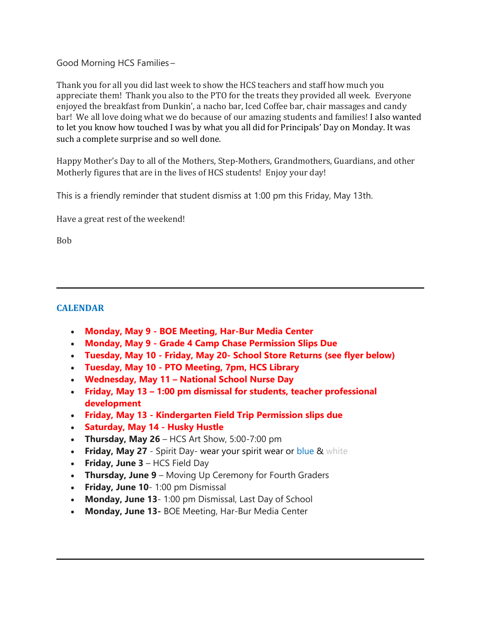Good Morning HCS Families –   

Thank you for all you did last week to show the HCS teachers and staff how much you appreciate them!  Thank you also to the PTO for the treats they provided all week. Everyone enjoyed the breakfast from Dunkin', a nacho bar, Iced Coffee bar, chair massages and candy bar! We all love doing what we do because of our amazing students and families! I also wanted to let you know how touched I was by what you all did for Principals' Day on Monday. It was such a complete surprise and so well done.

Happy Mother's Day to all of the Mothers, Step-Mothers, Grandmothers, Guardians, and other Motherly figures that are in the lives of HCS students! Enjoy your day!

This is a friendly reminder that student dismiss at 1:00 pm this Friday, May 13th.

Have a great rest of the weekend!

Bob

### **CALENDAR**

- **Monday, May 9 - BOE Meeting, Har-Bur Media Center**
- **Monday, May 9 - Grade 4 Camp Chase Permission Slips Due**
- **Tuesday, May 10 - Friday, May 20- School Store Returns (see flyer below)**
- **Tuesday, May 10 - PTO Meeting, 7pm, HCS Library**
- **Wednesday, May 11 – National School Nurse Day**
- **Friday, May 13 – 1:00 pm dismissal for students, teacher professional development**
- **Friday, May 13 - Kindergarten Field Trip Permission slips due**
- **Saturday, May 14 - Husky Hustle**
- **Thursday, May 26** HCS Art Show, 5:00-7:00 pm
- **Friday, May 27** Spirit Day- wear your spirit wear or blue & white
- **Friday, June 3** HCS Field Day
- **Thursday, June 9** Moving Up Ceremony for Fourth Graders
- **Friday, June 10** 1:00 pm Dismissal
- **Monday, June 13** 1:00 pm Dismissal, Last Day of School
- **Monday, June 13-** BOE Meeting, Har-Bur Media Center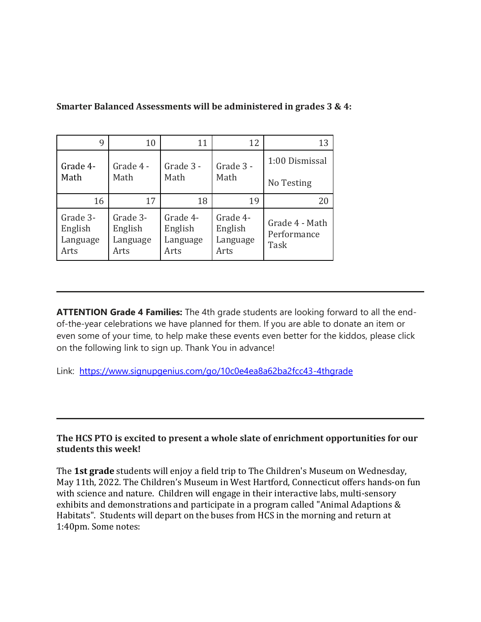| 9                                       | 10                                      | 11                                      | 12                                      | 13                                    |
|-----------------------------------------|-----------------------------------------|-----------------------------------------|-----------------------------------------|---------------------------------------|
| Grade 4-<br>Math                        | Grade 4 -<br>Math                       | Grade 3 -<br>Math                       | Grade 3 -<br>Math                       | 1:00 Dismissal                        |
|                                         |                                         |                                         |                                         | No Testing                            |
| 16                                      | 17                                      | 18                                      | 19                                      | 20                                    |
| Grade 3-<br>English<br>Language<br>Arts | Grade 3-<br>English<br>Language<br>Arts | Grade 4-<br>English<br>Language<br>Arts | Grade 4-<br>English<br>Language<br>Arts | Grade 4 - Math<br>Performance<br>Task |

# **Smarter Balanced Assessments will be administered in grades 3 & 4:**

**ATTENTION Grade 4 Families:** The 4th grade students are looking forward to all the endof-the-year celebrations we have planned for them. If you are able to donate an item or even some of your time, to help make these events even better for the kiddos, please click on the following link to sign up. Thank You in advance!

Link: [https://www.signupgenius.com/go/10c0e4ea8a62ba2fcc43-4thgrade](http://track.spe.schoolmessenger.com/f/a/UMLntsCWhtOA5bKQCnMftA~~/AAAAAQA~/RgRkWNY8P0Q9aHR0cHM6Ly93d3cuc2lnbnVwZ2VuaXVzLmNvbS9nby8xMGMwZTRlYThhNjJiYTJmY2M0My00dGhncmFkZVcHc2Nob29sbUIKYm-8ondi_CpXVVIZYmFsbGVyaW5pYUByZWdpb24xMGN0Lm9yZ1gEAAAAAQ~~)

#### **The HCS PTO is excited to present a whole slate of enrichment opportunities for our students this week!**

The **1st grade** students will enjoy a field trip to The Children's Museum on Wednesday, May 11th, 2022. The Children's Museum in West Hartford, Connecticut offers hands-on fun with science and nature. Children will engage in their interactive labs, multi-sensory exhibits and demonstrations and participate in a program called "Animal Adaptions & Habitats". Students will depart on the buses from HCS in the morning and return at 1:40pm. Some notes: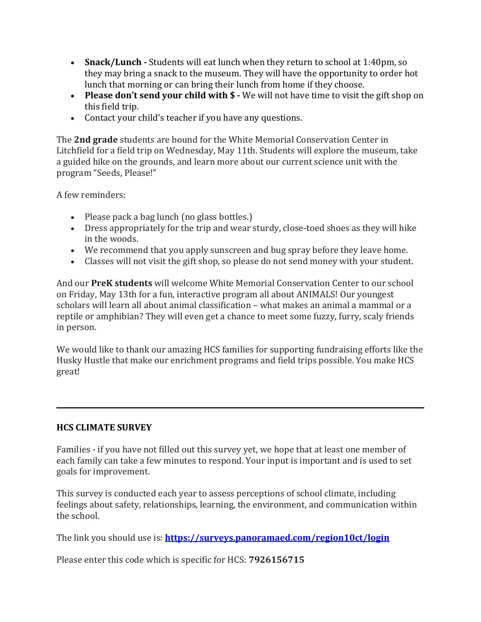- **Snack/Lunch -** Students will eat lunch when they return to school at 1:40pm, so they may bring a snack to the museum. They will have the opportunity to order hot lunch that morning or can bring their lunch from home if they choose.
- **Please don't send your child with \$ -** We will not have time to visit the gift shop on this field trip.
- Contact your child's teacher if you have any questions.

The **2nd grade** students are bound for the White Memorial Conservation Center in Litchfield for a field trip on Wednesday, May 11th. Students will explore the museum, take a guided hike on the grounds, and learn more about our current science unit with the program "Seeds, Please!"

A few reminders:

- Please pack a bag lunch (no glass bottles.)
- Dress appropriately for the trip and wear sturdy, close-toed shoes as they will hike in the woods.
- We recommend that you apply sunscreen and bug spray before they leave home.
- Classes will not visit the gift shop, so please do not send money with your student.

And our **PreK students** will welcome White Memorial Conservation Center to our school on Friday, May 13th for a fun, interactive program all about ANIMALS! Our youngest scholars will learn all about animal classification – what makes an animal a mammal or a reptile or amphibian? They will even get a chance to meet some fuzzy, furry, scaly friends in person.

We would like to thank our amazing HCS families for supporting fundraising efforts like the Husky Hustle that make our enrichment programs and field trips possible. You make HCS great!

## **HCS CLIMATE SURVEY**

Families - if you have not filled out this survey yet, we hope that at least one member of each family can take a few minutes to respond. Your input is important and is used to set goals for improvement.

This survey is conducted each year to assess perceptions of school climate, including feelings about safety, relationships, learning, the environment, and communication within the school.

The link you should use is: **[https://surveys.panoramaed.com/region10ct/login](http://track.spe.schoolmessenger.com/f/a/1OOdPiWAVU8dwQGnyuLojA~~/AAAAAQA~/RgRkWNY8P0TbaHR0cDovL3RyYWNrLnNwZS5zY2hvb2xtZXNzZW5nZXIuY29tL2YvYS9IZVZDM29GMnlwdV93R3RwV0EtU3RBfn4vQUFBQUFRQX4vUmdSa1VQdHRQMFF2YUhSMGNITTZMeTl6ZFhKMlpYbHpMbkJoYm05eVlXMWhaV1F1WTI5dEwzSmxaMmx2YmpFd1kzUXZiRzluYVc1WEIzTmphRzl2YkcxQ0NtSmg3Y2R2WXNHemVqRlNGWEp2YldWdmRFQnlaV2RwYjI0eE1HTjBMbTl5WjFnRUFBQUFBUX5-VwdzY2hvb2xtQgpib7yid2L8KldVUhliYWxsZXJpbmlhQHJlZ2lvbjEwY3Qub3JnWAQAAAAB)**

Please enter this code which is specific for HCS: **7926156715**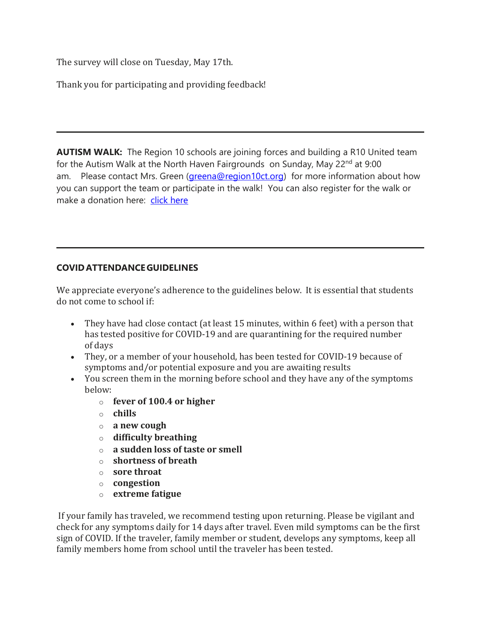The survey will close on Tuesday, May 17th.

Thank you for participating and providing feedback!

**AUTISM WALK:** The Region 10 schools are joining forces and building a R10 United team for the Autism Walk at the North Haven Fairgrounds on Sunday, May 22<sup>nd</sup> at 9:00 am. Please contact Mrs. Green [\(greena@region10ct.org\)](mailto:greena@region10ct.org) for more information about how you can support the team or participate in the walk! You can also register for the walk or make a donation here: [click](http://track.spe.schoolmessenger.com/f/a/_vdh4X0KoFEUzj7Bd4EsYw~~/AAAAAQA~/RgRkWNY8P0Q6aHR0cHM6Ly9wMnAub25lY2F1c2UuY29tL3dhbGtmb3JhdXRpc20yMDIyL3RlYW0vcjEwLXVuaXRlZFcHc2Nob29sbUIKYm-8ondi_CpXVVIZYmFsbGVyaW5pYUByZWdpb24xMGN0Lm9yZ1gEAAAAAQ~~) here

## **COVID ATTENDANCE GUIDELINES**

We appreciate everyone's adherence to the guidelines below.  It is essential that students do not come to school if:     

- They have had close contact (at least 15 minutes, within 6 feet) with a person that has tested positive for COVID-19 and are quarantining for the required number of days
- They, or a member of your household, has been tested for COVID-19 because of symptoms and/or potential exposure and you are awaiting results
- You screen them in the morning before school and they have any of the symptoms below:
	- o **fever of 100.4 or higher**
	- o **chills**
	- o **a new cough**
	- o **difficulty breathing**
	- o **a sudden loss of taste or smell**
	- o **shortness of breath**
	- o **sore throat**
	- o **congestion**
	- o **extreme fatigue**

 If your family has traveled, we recommend testing upon returning. Please be vigilant and check for any symptoms daily for 14 days after travel. Even mild symptoms can be the first sign of COVID. If the traveler, family member or student, develops any symptoms, keep all family members home from school until the traveler has been tested.